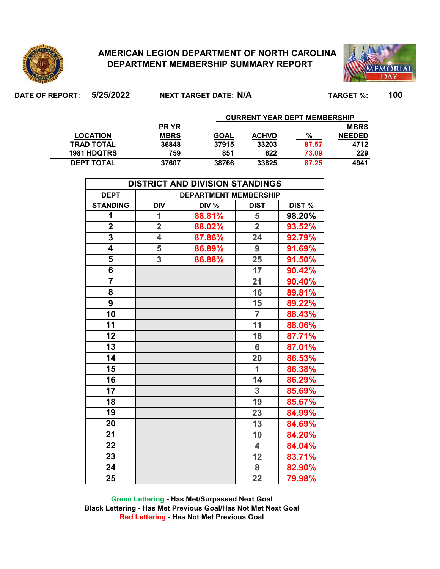

## **AMERICAN LEGION DEPARTMENT OF NORTH CAROLINA DEPARTMENT MEMBERSHIP SUMMARY REPORT**



**DATE OF REPORT: 5/25/2022 TARGET %: 100 NEXT TARGET DATE: N/A CURRENT YEAR DEPT MEMBERSHIP** 

|                    | <b>PR YR</b> |             |              |       | <b>MBRS</b>   |
|--------------------|--------------|-------------|--------------|-------|---------------|
| <b>LOCATION</b>    | <b>MBRS</b>  | <b>GOAL</b> | <b>ACHVD</b> | %     | <b>NEEDED</b> |
| <b>TRAD TOTAL</b>  | 36848        | 37915       | 33203        | 87.57 | 4712          |
| <b>1981 HDQTRS</b> | 759          | 851         | 622          | 73.09 | 229           |
| <b>DEPT TOTAL</b>  | 37607        | 38766       | 33825        | 87.25 | 4941          |

| <b>DISTRICT AND DIVISION STANDINGS</b> |                                                                              |        |                         |        |  |  |  |  |  |  |  |  |  |
|----------------------------------------|------------------------------------------------------------------------------|--------|-------------------------|--------|--|--|--|--|--|--|--|--|--|
| <b>DEPT</b>                            | <b>DEPARTMENT MEMBERSHIP</b><br>DIV %<br>DIST %<br><b>DIV</b><br><b>DIST</b> |        |                         |        |  |  |  |  |  |  |  |  |  |
| <b>STANDING</b>                        |                                                                              |        |                         |        |  |  |  |  |  |  |  |  |  |
| 1                                      | 1                                                                            | 88.81% | 5                       | 98.20% |  |  |  |  |  |  |  |  |  |
| $\overline{\mathbf{2}}$                | $\overline{\mathbf{2}}$                                                      | 88.02% | $\overline{2}$          | 93.52% |  |  |  |  |  |  |  |  |  |
| $\overline{3}$                         | 4                                                                            | 87.86% | 24                      | 92.79% |  |  |  |  |  |  |  |  |  |
| $\overline{\mathbf{4}}$                | 5                                                                            | 86.89% | 9                       | 91.69% |  |  |  |  |  |  |  |  |  |
| 5                                      | 3                                                                            | 86.88% | 25                      | 91.50% |  |  |  |  |  |  |  |  |  |
| 6                                      |                                                                              |        | 17                      | 90.42% |  |  |  |  |  |  |  |  |  |
|                                        |                                                                              |        | 21                      | 90.40% |  |  |  |  |  |  |  |  |  |
| 8                                      |                                                                              |        | 16                      | 89.81% |  |  |  |  |  |  |  |  |  |
| 9                                      |                                                                              |        | 15                      | 89.22% |  |  |  |  |  |  |  |  |  |
| 10                                     |                                                                              |        | $\overline{7}$          | 88.43% |  |  |  |  |  |  |  |  |  |
| 11                                     |                                                                              |        | 11                      | 88.06% |  |  |  |  |  |  |  |  |  |
| 12                                     |                                                                              |        | 18                      | 87.71% |  |  |  |  |  |  |  |  |  |
| 13                                     |                                                                              |        | $6\phantom{a}$          | 87.01% |  |  |  |  |  |  |  |  |  |
| 14                                     |                                                                              |        | 20                      | 86.53% |  |  |  |  |  |  |  |  |  |
| 15                                     |                                                                              |        | $\overline{1}$          | 86.38% |  |  |  |  |  |  |  |  |  |
| 16                                     |                                                                              |        | 14                      | 86.29% |  |  |  |  |  |  |  |  |  |
| 17                                     |                                                                              |        | 3                       | 85.69% |  |  |  |  |  |  |  |  |  |
| 18                                     |                                                                              |        | 19                      | 85.67% |  |  |  |  |  |  |  |  |  |
| 19                                     |                                                                              |        | 23                      | 84.99% |  |  |  |  |  |  |  |  |  |
| 20                                     |                                                                              |        | 13                      | 84.69% |  |  |  |  |  |  |  |  |  |
| 21                                     |                                                                              |        | 10                      | 84.20% |  |  |  |  |  |  |  |  |  |
| 22                                     |                                                                              |        | $\overline{\mathbf{4}}$ | 84.04% |  |  |  |  |  |  |  |  |  |
| 23                                     |                                                                              |        | 12                      | 83.71% |  |  |  |  |  |  |  |  |  |
| 24                                     |                                                                              |        | 8                       | 82.90% |  |  |  |  |  |  |  |  |  |
| 25                                     |                                                                              |        | 22                      | 79.98% |  |  |  |  |  |  |  |  |  |

**Green Lettering - Has Met/Surpassed Next Goal Black Lettering - Has Met Previous Goal/Has Not Met Next Goal Red Lettering - Has Not Met Previous Goal**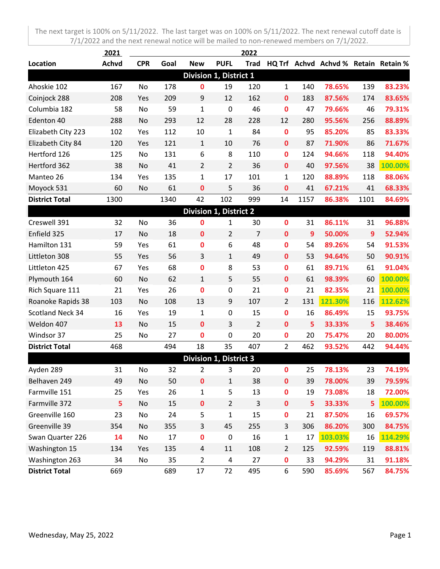|                       | 2021         |            |      |                               |                | 2022           |                |                |                                      |                |         |
|-----------------------|--------------|------------|------|-------------------------------|----------------|----------------|----------------|----------------|--------------------------------------|----------------|---------|
| Location              | <b>Achvd</b> | <b>CPR</b> | Goal | <b>New</b>                    | <b>PUFL</b>    | <b>Trad</b>    |                |                | HQ Trf Achvd Achvd % Retain Retain % |                |         |
|                       |              |            |      | Division 1, District 1        |                |                |                |                |                                      |                |         |
| Ahoskie 102           | 167          | No         | 178  | $\mathbf 0$                   | 19             | 120            | $\mathbf{1}$   | 140            | 78.65%                               | 139            | 83.23%  |
| Coinjock 288          | 208          | Yes        | 209  | 9                             | 12             | 162            | 0              | 183            | 87.56%                               | 174            | 83.65%  |
| Columbia 182          | 58           | No         | 59   | $\mathbf{1}$                  | $\mathbf 0$    | 46             | $\mathbf 0$    | 47             | 79.66%                               | 46             | 79.31%  |
| Edenton 40            | 288          | No         | 293  | 12                            | 28             | 228            | 12             | 280            | 95.56%                               | 256            | 88.89%  |
| Elizabeth City 223    | 102          | Yes        | 112  | 10                            | $\mathbf{1}$   | 84             | $\mathbf 0$    | 95             | 85.20%                               | 85             | 83.33%  |
| Elizabeth City 84     | 120          | Yes        | 121  | $\mathbf{1}$                  | 10             | 76             | $\mathbf 0$    | 87             | 71.90%                               | 86             | 71.67%  |
| Hertford 126          | 125          | No         | 131  | 6                             | 8              | 110            | $\mathbf 0$    | 124            | 94.66%                               | 118            | 94.40%  |
| Hertford 362          | 38           | No         | 41   | $\overline{2}$                | $\overline{2}$ | 36             | $\mathbf 0$    | 40             | 97.56%                               | 38             | 100.00% |
| Manteo 26             | 134          | Yes        | 135  | $\mathbf{1}$                  | 17             | 101            | 1              | 120            | 88.89%                               | 118            | 88.06%  |
| Moyock 531            | 60           | No         | 61   | 0                             | 5              | 36             | 0              | 41             | 67.21%                               | 41             | 68.33%  |
| <b>District Total</b> | 1300         |            | 1340 | 42                            | 102            | 999            | 14             | 1157           | 86.38%                               | 1101           | 84.69%  |
|                       |              |            |      | Division 1, District 2        |                |                |                |                |                                      |                |         |
| Creswell 391          | 32           | No         | 36   | 0                             | 1              | 30             | $\mathbf 0$    | 31             | 86.11%                               | 31             | 96.88%  |
| Enfield 325           | 17           | No         | 18   | $\mathbf 0$                   | $\overline{2}$ | 7              | $\mathbf{0}$   | $\overline{9}$ | 50.00%                               | $\overline{9}$ | 52.94%  |
| Hamilton 131          | 59           | Yes        | 61   | 0                             | 6              | 48             | $\mathbf 0$    | 54             | 89.26%                               | 54             | 91.53%  |
| Littleton 308         | 55           | Yes        | 56   | 3                             | $\mathbf{1}$   | 49             | $\mathbf 0$    | 53             | 94.64%                               | 50             | 90.91%  |
| Littleton 425         | 67           | Yes        | 68   | 0                             | 8              | 53             | $\mathbf 0$    | 61             | 89.71%                               | 61             | 91.04%  |
| Plymouth 164          | 60           | No         | 62   | $\mathbf{1}$                  | 5              | 55             | $\mathbf 0$    | 61             | 98.39%                               | 60             | 100.00% |
| Rich Square 111       | 21           | Yes        | 26   | 0                             | 0              | 21             | $\bf{0}$       | 21             | 82.35%                               | 21             | 100.00% |
| Roanoke Rapids 38     | 103          | No         | 108  | 13                            | 9              | 107            | $\overline{2}$ | 131            | 121.30%                              | 116            | 112.62% |
| Scotland Neck 34      | 16           | Yes        | 19   | $\mathbf{1}$                  | $\pmb{0}$      | 15             | $\mathbf 0$    | 16             | 86.49%                               | 15             | 93.75%  |
| Weldon 407            | 13           | No         | 15   | $\mathbf 0$                   | 3              | $\overline{2}$ | $\mathbf{0}$   | 5              | 33.33%                               | 5              | 38.46%  |
| Windsor 37            | 25           | No         | 27   | 0                             | 0              | 20             | $\mathbf 0$    | 20             | 75.47%                               | 20             | 80.00%  |
| <b>District Total</b> | 468          |            | 494  | 18                            | 35             | 407            | $\overline{2}$ | 462            | 93.52%                               | 442            | 94.44%  |
|                       |              |            |      | <b>Division 1, District 3</b> |                |                |                |                |                                      |                |         |
| Ayden 289             | 31           | No         | 32   | 2                             | 3              | 20             | 0              | 25             | 78.13%                               | 23             | 74.19%  |
| Belhaven 249          | 49           | No         | 50   | $\pmb{0}$                     | $\mathbf{1}$   | 38             | $\mathbf 0$    | 39             | 78.00%                               | 39             | 79.59%  |
| Farmville 151         | 25           | Yes        | 26   | $\mathbf{1}$                  | 5              | 13             | $\mathbf 0$    | 19             | 73.08%                               | 18             | 72.00%  |
| Farmville 372         | 5            | No         | 15   | $\pmb{0}$                     | $\overline{2}$ | 3              | $\mathbf 0$    | 5              | 33.33%                               | 5              | 100.00% |
| Greenville 160        | 23           | No         | 24   | 5                             | $\mathbf{1}$   | 15             | $\mathbf 0$    | 21             | 87.50%                               | 16             | 69.57%  |
| Greenville 39         | 354          | No         | 355  | 3                             | 45             | 255            | 3              | 306            | 86.20%                               | 300            | 84.75%  |
| Swan Quarter 226      | 14           | No         | 17   | $\pmb{0}$                     | $\pmb{0}$      | 16             | $\mathbf{1}$   | 17             | 103.03%                              | 16             | 114.29% |
| Washington 15         | 134          | Yes        | 135  | 4                             | 11             | 108            | $\overline{2}$ | 125            | 92.59%                               | 119            | 88.81%  |
| Washington 263        | 34           | No         | 35   | $\overline{2}$                | 4              | 27             | $\mathbf 0$    | 33             | 94.29%                               | 31             | 91.18%  |
| <b>District Total</b> | 669          |            | 689  | 17                            | 72             | 495            | 6              | 590            | 85.69%                               | 567            | 84.75%  |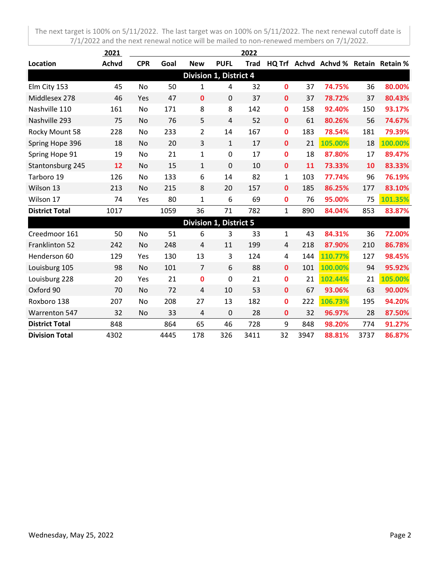|                       | 2021         |            |      |                               |                | 2022        |              |     |                                      |     |         |
|-----------------------|--------------|------------|------|-------------------------------|----------------|-------------|--------------|-----|--------------------------------------|-----|---------|
| Location              | <b>Achvd</b> | <b>CPR</b> | Goal | <b>New</b>                    | <b>PUFL</b>    | <b>Trad</b> |              |     | HQ Trf Achvd Achvd % Retain Retain % |     |         |
|                       |              |            |      | <b>Division 1, District 4</b> |                |             |              |     |                                      |     |         |
| Elm City 153          | 45           | No         | 50   | 1                             | 4              | 32          | $\mathbf{0}$ | 37  | 74.75%                               | 36  | 80.00%  |
| Middlesex 278         | 46           | Yes        | 47   | $\mathbf 0$                   | 0              | 37          | $\mathbf 0$  | 37  | 78.72%                               | 37  | 80.43%  |
| Nashville 110         | 161          | No         | 171  | 8                             | 8              | 142         | $\mathbf 0$  | 158 | 92.40%                               | 150 | 93.17%  |
| Nashville 293         | 75           | No         | 76   | 5                             | $\overline{4}$ | 52          | $\mathbf{0}$ | 61  | 80.26%                               | 56  | 74.67%  |
| Rocky Mount 58        | 228          | No         | 233  | $\overline{2}$                | 14             | 167         | $\mathbf 0$  | 183 | 78.54%                               | 181 | 79.39%  |
| Spring Hope 396       | 18           | No         | 20   | 3                             | $\mathbf{1}$   | 17          | $\mathbf 0$  | 21  | 105.00%                              | 18  | 100.00% |
| Spring Hope 91        | 19           | No         | 21   | 1                             | 0              | 17          | $\mathbf 0$  | 18  | 87.80%                               | 17  | 89.47%  |
| Stantonsburg 245      | 12           | No         | 15   | $\mathbf{1}$                  | $\mathbf 0$    | 10          | $\mathbf{0}$ | 11  | 73.33%                               | 10  | 83.33%  |
| Tarboro 19            | 126          | No         | 133  | 6                             | 14             | 82          | $\mathbf{1}$ | 103 | 77.74%                               | 96  | 76.19%  |
| Wilson 13             | 213          | No         | 215  | 8                             | 20             | 157         | $\mathbf 0$  | 185 | 86.25%                               | 177 | 83.10%  |
| Wilson 17             | 74           | Yes        | 80   | $\mathbf{1}$                  | 6              | 69          | $\mathbf 0$  | 76  | 95.00%                               | 75  | 101.35% |
| <b>District Total</b> | 1017         |            | 1059 | 36                            | 71             | 782         | 1            | 890 | 84.04%                               | 853 | 83.87%  |
|                       |              |            |      | <b>Division 1, District 5</b> |                |             |              |     |                                      |     |         |
| Creedmoor 161         | 50           | No         | 51   | 6                             | 3              | 33          | 1            | 43  | 84.31%                               | 36  | 72.00%  |
| Franklinton 52        | 242          | No         | 248  | 4                             | 11             | 199         | 4            | 218 | 87.90%                               | 210 | 86.78%  |
| Henderson 60          | 129          | Yes        | 130  | 13                            | 3              | 124         | 4            | 144 | 110.77%                              | 127 | 98.45%  |
| Louisburg 105         | 98           | No         | 101  | 7                             | 6              | 88          | $\mathbf 0$  | 101 | 100.00%                              | 94  | 95.92%  |
| Louisburg 228         | 20           | Yes        | 21   | 0                             | 0              | 21          | $\mathbf 0$  | 21  | 102.44%                              | 21  | 105.00% |
| Oxford 90             | 70           | No         | 72   | 4                             | 10             | 53          | $\mathbf 0$  | 67  | 93.06%                               | 63  | 90.00%  |

Roxboro 138 207 No 208 27 13 182 **0** 222 **106.73%** 195 **94.20%** Warrenton 547 32 No 33 4 0 28 **0** 32 **96.97%** 28 **87.50% District Total** 848 864 65 46 728 9 848 **98.20%** 774 **91.27% Division Total** 4302 4445 178 326 3411 32 3947 **88.81%** 3737 **86.87%**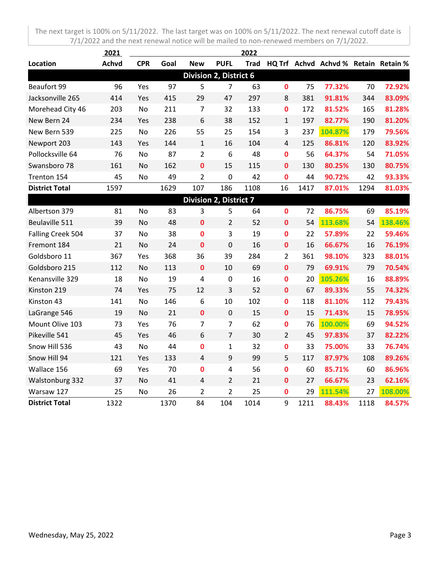|                       | 2021         |            |      |                |                               | 2022 |                |      |                                           |      |         |
|-----------------------|--------------|------------|------|----------------|-------------------------------|------|----------------|------|-------------------------------------------|------|---------|
| Location              | <b>Achvd</b> | <b>CPR</b> | Goal | <b>New</b>     | <b>PUFL</b>                   |      |                |      | Trad HQ Trf Achvd Achvd % Retain Retain % |      |         |
|                       |              |            |      |                | <b>Division 2, District 6</b> |      |                |      |                                           |      |         |
| Beaufort 99           | 96           | Yes        | 97   | 5              | $\overline{7}$                | 63   | $\mathbf 0$    | 75   | 77.32%                                    | 70   | 72.92%  |
| Jacksonville 265      | 414          | Yes        | 415  | 29             | 47                            | 297  | 8              | 381  | 91.81%                                    | 344  | 83.09%  |
| Morehead City 46      | 203          | No         | 211  | 7              | 32                            | 133  | $\mathbf 0$    | 172  | 81.52%                                    | 165  | 81.28%  |
| New Bern 24           | 234          | Yes        | 238  | 6              | 38                            | 152  | $\mathbf{1}$   | 197  | 82.77%                                    | 190  | 81.20%  |
| New Bern 539          | 225          | <b>No</b>  | 226  | 55             | 25                            | 154  | 3              | 237  | 104.87%                                   | 179  | 79.56%  |
| Newport 203           | 143          | Yes        | 144  | $\mathbf{1}$   | 16                            | 104  | $\overline{4}$ | 125  | 86.81%                                    | 120  | 83.92%  |
| Pollocksville 64      | 76           | No         | 87   | $\overline{2}$ | 6                             | 48   | $\mathbf 0$    | 56   | 64.37%                                    | 54   | 71.05%  |
| Swansboro 78          | 161          | No         | 162  | 0              | 15                            | 115  | 0              | 130  | 80.25%                                    | 130  | 80.75%  |
| Trenton 154           | 45           | No         | 49   | $\overline{2}$ | $\mathbf 0$                   | 42   | 0              | 44   | 90.72%                                    | 42   | 93.33%  |
| <b>District Total</b> | 1597         |            | 1629 | 107            | 186                           | 1108 | 16             | 1417 | 87.01%                                    | 1294 | 81.03%  |
|                       |              |            |      |                | <b>Division 2, District 7</b> |      |                |      |                                           |      |         |
| Albertson 379         | 81           | No         | 83   | 3              | 5                             | 64   | 0              | 72   | 86.75%                                    | 69   | 85.19%  |
| Beulaville 511        | 39           | <b>No</b>  | 48   | $\mathbf 0$    | $\overline{2}$                | 52   | $\bf{0}$       | 54   | 113.68%                                   | 54   | 138.46% |
| Falling Creek 504     | 37           | No         | 38   | 0              | 3                             | 19   | $\mathbf 0$    | 22   | 57.89%                                    | 22   | 59.46%  |
| Fremont 184           | 21           | No         | 24   | 0              | $\mathbf 0$                   | 16   | $\mathbf 0$    | 16   | 66.67%                                    | 16   | 76.19%  |
| Goldsboro 11          | 367          | Yes        | 368  | 36             | 39                            | 284  | $\overline{2}$ | 361  | 98.10%                                    | 323  | 88.01%  |
| Goldsboro 215         | 112          | No         | 113  | $\mathbf 0$    | 10                            | 69   | $\bf{0}$       | 79   | 69.91%                                    | 79   | 70.54%  |
| Kenansville 329       | 18           | No         | 19   | 4              | $\mathbf 0$                   | 16   | 0              | 20   | 105.26%                                   | 16   | 88.89%  |
| Kinston 219           | 74           | Yes        | 75   | 12             | 3                             | 52   | $\bf{0}$       | 67   | 89.33%                                    | 55   | 74.32%  |
| Kinston 43            | 141          | No         | 146  | 6              | 10                            | 102  | $\mathbf 0$    | 118  | 81.10%                                    | 112  | 79.43%  |
| LaGrange 546          | 19           | No         | 21   | $\mathbf 0$    | $\mathbf 0$                   | 15   | $\mathbf 0$    | 15   | 71.43%                                    | 15   | 78.95%  |
| Mount Olive 103       | 73           | Yes        | 76   | $\overline{7}$ | $\overline{7}$                | 62   | $\mathbf 0$    | 76   | 100.00%                                   | 69   | 94.52%  |
| Pikeville 541         | 45           | Yes        | 46   | 6              | $\overline{7}$                | 30   | $\overline{2}$ | 45   | 97.83%                                    | 37   | 82.22%  |
| Snow Hill 536         | 43           | No         | 44   | 0              | $\mathbf{1}$                  | 32   | $\mathbf 0$    | 33   | 75.00%                                    | 33   | 76.74%  |
| Snow Hill 94          | 121          | Yes        | 133  | 4              | 9                             | 99   | 5              | 117  | 87.97%                                    | 108  | 89.26%  |
| Wallace 156           | 69           | Yes        | 70   | $\mathbf 0$    | $\overline{4}$                | 56   | $\mathbf 0$    | 60   | 85.71%                                    | 60   | 86.96%  |
| Walstonburg 332       | 37           | <b>No</b>  | 41   | 4              | $\overline{2}$                | 21   | $\mathbf 0$    | 27   | 66.67%                                    | 23   | 62.16%  |
| Warsaw 127            | 25           | No         | 26   | $\overline{2}$ | $\overline{2}$                | 25   | 0              | 29   | 111.54%                                   | 27   | 108.00% |
| <b>District Total</b> | 1322         |            | 1370 | 84             | 104                           | 1014 | 9              | 1211 | 88.43%                                    | 1118 | 84.57%  |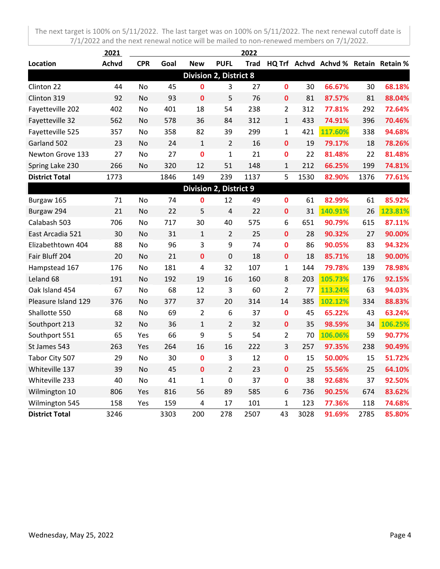|                       | 2021         |            |      |                               |                               | 2022 |                |      |                                           |      |         |
|-----------------------|--------------|------------|------|-------------------------------|-------------------------------|------|----------------|------|-------------------------------------------|------|---------|
| Location              | <b>Achvd</b> | <b>CPR</b> | Goal | <b>New</b>                    | <b>PUFL</b>                   |      |                |      | Trad HQ Trf Achvd Achvd % Retain Retain % |      |         |
|                       |              |            |      |                               | <b>Division 2, District 8</b> |      |                |      |                                           |      |         |
| Clinton 22            | 44           | No         | 45   | 0                             | 3                             | 27   | 0              | 30   | 66.67%                                    | 30   | 68.18%  |
| Clinton 319           | 92           | No         | 93   | $\mathbf 0$                   | 5                             | 76   | $\mathbf 0$    | 81   | 87.57%                                    | 81   | 88.04%  |
| Fayetteville 202      | 402          | No         | 401  | 18                            | 54                            | 238  | $\overline{2}$ | 312  | 77.81%                                    | 292  | 72.64%  |
| Fayetteville 32       | 562          | No         | 578  | 36                            | 84                            | 312  | $\mathbf{1}$   | 433  | 74.91%                                    | 396  | 70.46%  |
| Fayetteville 525      | 357          | No         | 358  | 82                            | 39                            | 299  | $\mathbf{1}$   | 421  | 117.60%                                   | 338  | 94.68%  |
| Garland 502           | 23           | No         | 24   | $\mathbf{1}$                  | $\overline{2}$                | 16   | $\mathbf{0}$   | 19   | 79.17%                                    | 18   | 78.26%  |
| Newton Grove 133      | 27           | No         | 27   | $\mathbf 0$                   | $\mathbf{1}$                  | 21   | 0              | 22   | 81.48%                                    | 22   | 81.48%  |
| Spring Lake 230       | 266          | No         | 320  | 12                            | 51                            | 148  | $\mathbf{1}$   | 212  | 66.25%                                    | 199  | 74.81%  |
| <b>District Total</b> | 1773         |            | 1846 | 149                           | 239                           | 1137 | 5              | 1530 | 82.90%                                    | 1376 | 77.61%  |
|                       |              |            |      | <b>Division 2, District 9</b> |                               |      |                |      |                                           |      |         |
| Burgaw 165            | 71           | No         | 74   | 0                             | 12                            | 49   | $\mathbf 0$    | 61   | 82.99%                                    | 61   | 85.92%  |
| Burgaw 294            | 21           | No         | 22   | 5                             | $\overline{4}$                | 22   | $\mathbf 0$    | 31   | 140.91%                                   | 26   | 123.81% |
| Calabash 503          | 706          | No         | 717  | 30                            | 40                            | 575  | 6              | 651  | 90.79%                                    | 615  | 87.11%  |
| East Arcadia 521      | 30           | <b>No</b>  | 31   | $\mathbf{1}$                  | $\overline{2}$                | 25   | $\mathbf{0}$   | 28   | 90.32%                                    | 27   | 90.00%  |
| Elizabethtown 404     | 88           | No         | 96   | 3                             | 9                             | 74   | $\bf{0}$       | 86   | 90.05%                                    | 83   | 94.32%  |
| Fair Bluff 204        | 20           | No         | 21   | $\mathbf 0$                   | $\mathbf 0$                   | 18   | $\mathbf 0$    | 18   | 85.71%                                    | 18   | 90.00%  |
| Hampstead 167         | 176          | No         | 181  | 4                             | 32                            | 107  | $\mathbf{1}$   | 144  | 79.78%                                    | 139  | 78.98%  |
| Leland 68             | 191          | No         | 192  | 19                            | 16                            | 160  | 8              | 203  | 105.73%                                   | 176  | 92.15%  |
| Oak Island 454        | 67           | No         | 68   | 12                            | $\overline{3}$                | 60   | $\overline{2}$ | 77   | 113.24%                                   | 63   | 94.03%  |
| Pleasure Island 129   | 376          | No         | 377  | 37                            | 20                            | 314  | 14             | 385  | 102.12%                                   | 334  | 88.83%  |
| Shallotte 550         | 68           | No         | 69   | $\overline{2}$                | $\boldsymbol{6}$              | 37   | $\mathbf 0$    | 45   | 65.22%                                    | 43   | 63.24%  |
| Southport 213         | 32           | No         | 36   | $\mathbf{1}$                  | $\overline{2}$                | 32   | $\mathbf 0$    | 35   | 98.59%                                    | 34   | 106.25% |
| Southport 551         | 65           | Yes        | 66   | 9                             | 5                             | 54   | $\overline{2}$ | 70   | 106.06%                                   | 59   | 90.77%  |
| St James 543          | 263          | Yes        | 264  | 16                            | 16                            | 222  | 3              | 257  | 97.35%                                    | 238  | 90.49%  |
| Tabor City 507        | 29           | No         | 30   | $\mathbf 0$                   | 3                             | 12   | $\mathbf 0$    | 15   | 50.00%                                    | 15   | 51.72%  |
| Whiteville 137        | 39           | No         | 45   | $\mathbf{0}$                  | $\overline{2}$                | 23   | $\mathbf{0}$   | 25   | 55.56%                                    | 25   | 64.10%  |
| Whiteville 233        | 40           | No         | 41   | $\mathbf{1}$                  | 0                             | 37   | $\mathbf 0$    | 38   | 92.68%                                    | 37   | 92.50%  |
| Wilmington 10         | 806          | Yes        | 816  | 56                            | 89                            | 585  | 6              | 736  | 90.25%                                    | 674  | 83.62%  |
| Wilmington 545        | 158          | Yes        | 159  | 4                             | 17                            | 101  | $\mathbf{1}$   | 123  | 77.36%                                    | 118  | 74.68%  |
| <b>District Total</b> | 3246         |            | 3303 | 200                           | 278                           | 2507 | 43             | 3028 | 91.69%                                    | 2785 | 85.80%  |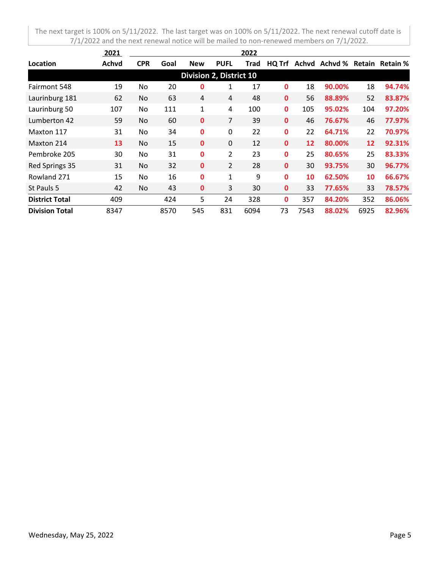|                       | 2021  |            |      |                                |                | 2022 |              |      |                               |      |        |
|-----------------------|-------|------------|------|--------------------------------|----------------|------|--------------|------|-------------------------------|------|--------|
| Location              | Achvd | <b>CPR</b> | Goal | <b>New</b>                     | <b>PUFL</b>    | Trad | HQ Trf       |      | Achyd Achyd % Retain Retain % |      |        |
|                       |       |            |      | <b>Division 2, District 10</b> |                |      |              |      |                               |      |        |
| Fairmont 548          | 19    | No.        | 20   | 0                              | 1              | 17   | 0            | 18   | 90.00%                        | 18   | 94.74% |
| Laurinburg 181        | 62    | No.        | 63   | 4                              | 4              | 48   | $\mathbf 0$  | 56   | 88.89%                        | 52   | 83.87% |
| Laurinburg 50         | 107   | <b>No</b>  | 111  | 1                              | 4              | 100  | 0            | 105  | 95.02%                        | 104  | 97.20% |
| Lumberton 42          | 59    | <b>No</b>  | 60   | 0                              | 7              | 39   | $\mathbf 0$  | 46   | 76.67%                        | 46   | 77.97% |
| Maxton 117            | 31    | No.        | 34   | 0                              | 0              | 22   | 0            | 22   | 64.71%                        | 22   | 70.97% |
| Maxton 214            | 13    | No.        | 15   | 0                              | $\mathbf{0}$   | 12   | $\mathbf{0}$ | 12   | 80.00%                        | 12   | 92.31% |
| Pembroke 205          | 30    | <b>No</b>  | 31   | 0                              | $\overline{2}$ | 23   | 0            | 25   | 80.65%                        | 25   | 83.33% |
| Red Springs 35        | 31    | No.        | 32   | 0                              | 2              | 28   | $\mathbf{0}$ | 30   | 93.75%                        | 30   | 96.77% |
| Rowland 271           | 15    | No.        | 16   | 0                              | $\mathbf{1}$   | 9    | 0            | 10   | 62.50%                        | 10   | 66.67% |
| St Pauls 5            | 42    | No.        | 43   | 0                              | 3              | 30   | 0            | 33   | 77.65%                        | 33   | 78.57% |
| <b>District Total</b> | 409   |            | 424  | 5                              | 24             | 328  | 0            | 357  | 84.20%                        | 352  | 86.06% |
| <b>Division Total</b> | 8347  |            | 8570 | 545                            | 831            | 6094 | 73           | 7543 | 88.02%                        | 6925 | 82.96% |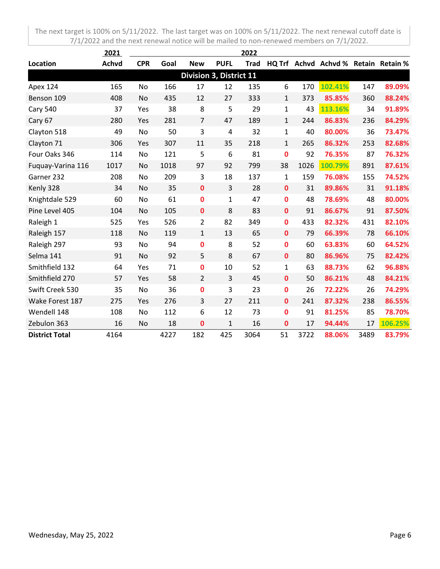|                       | 2021         |            |      |                         |                | 2022        |              |      |                                      |      |         |
|-----------------------|--------------|------------|------|-------------------------|----------------|-------------|--------------|------|--------------------------------------|------|---------|
| Location              | <b>Achvd</b> | <b>CPR</b> | Goal | <b>New</b>              | <b>PUFL</b>    | <b>Trad</b> |              |      | HQ Trf Achvd Achvd % Retain Retain % |      |         |
|                       |              |            |      | Division 3, District 11 |                |             |              |      |                                      |      |         |
| Apex 124              | 165          | No         | 166  | 17                      | 12             | 135         | 6            | 170  | 102.41%                              | 147  | 89.09%  |
| Benson 109            | 408          | No         | 435  | 12                      | 27             | 333         | $\mathbf{1}$ | 373  | 85.85%                               | 360  | 88.24%  |
| <b>Cary 540</b>       | 37           | Yes        | 38   | 8                       | 5              | 29          | $\mathbf{1}$ | 43   | 113.16%                              | 34   | 91.89%  |
| Cary 67               | 280          | Yes        | 281  | $\overline{7}$          | 47             | 189         | $\mathbf{1}$ | 244  | 86.83%                               | 236  | 84.29%  |
| Clayton 518           | 49           | No         | 50   | 3                       | $\overline{4}$ | 32          | $\mathbf{1}$ | 40   | 80.00%                               | 36   | 73.47%  |
| Clayton 71            | 306          | Yes        | 307  | 11                      | 35             | 218         | $\mathbf{1}$ | 265  | 86.32%                               | 253  | 82.68%  |
| Four Oaks 346         | 114          | No         | 121  | 5                       | 6              | 81          | $\mathbf 0$  | 92   | 76.35%                               | 87   | 76.32%  |
| Fuquay-Varina 116     | 1017         | No         | 1018 | 97                      | 92             | 799         | 38           | 1026 | 100.79%                              | 891  | 87.61%  |
| Garner 232            | 208          | No         | 209  | 3                       | 18             | 137         | $\mathbf{1}$ | 159  | 76.08%                               | 155  | 74.52%  |
| Kenly 328             | 34           | No         | 35   | $\mathbf 0$             | 3              | 28          | $\mathbf 0$  | 31   | 89.86%                               | 31   | 91.18%  |
| Knightdale 529        | 60           | No         | 61   | $\mathbf 0$             | $\mathbf{1}$   | 47          | $\mathbf 0$  | 48   | 78.69%                               | 48   | 80.00%  |
| Pine Level 405        | 104          | No         | 105  | $\mathbf 0$             | 8              | 83          | $\mathbf 0$  | 91   | 86.67%                               | 91   | 87.50%  |
| Raleigh 1             | 525          | Yes        | 526  | $\overline{2}$          | 82             | 349         | $\mathbf 0$  | 433  | 82.32%                               | 431  | 82.10%  |
| Raleigh 157           | 118          | No         | 119  | $\mathbf{1}$            | 13             | 65          | $\mathbf{0}$ | 79   | 66.39%                               | 78   | 66.10%  |
| Raleigh 297           | 93           | No         | 94   | 0                       | 8              | 52          | 0            | 60   | 63.83%                               | 60   | 64.52%  |
| Selma 141             | 91           | No         | 92   | 5                       | 8              | 67          | $\mathbf 0$  | 80   | 86.96%                               | 75   | 82.42%  |
| Smithfield 132        | 64           | Yes        | 71   | 0                       | 10             | 52          | $\mathbf{1}$ | 63   | 88.73%                               | 62   | 96.88%  |
| Smithfield 270        | 57           | Yes        | 58   | $\overline{2}$          | 3              | 45          | $\mathbf{0}$ | 50   | 86.21%                               | 48   | 84.21%  |
| Swift Creek 530       | 35           | No         | 36   | 0                       | 3              | 23          | $\mathbf 0$  | 26   | 72.22%                               | 26   | 74.29%  |
| Wake Forest 187       | 275          | Yes        | 276  | 3                       | 27             | 211         | $\mathbf 0$  | 241  | 87.32%                               | 238  | 86.55%  |
| Wendell 148           | 108          | No         | 112  | 6                       | 12             | 73          | $\mathbf 0$  | 91   | 81.25%                               | 85   | 78.70%  |
| Zebulon 363           | 16           | No         | 18   | $\mathbf 0$             | $\mathbf 1$    | 16          | $\bf{0}$     | 17   | 94.44%                               | 17   | 106.25% |
| <b>District Total</b> | 4164         |            | 4227 | 182                     | 425            | 3064        | 51           | 3722 | 88.06%                               | 3489 | 83.79%  |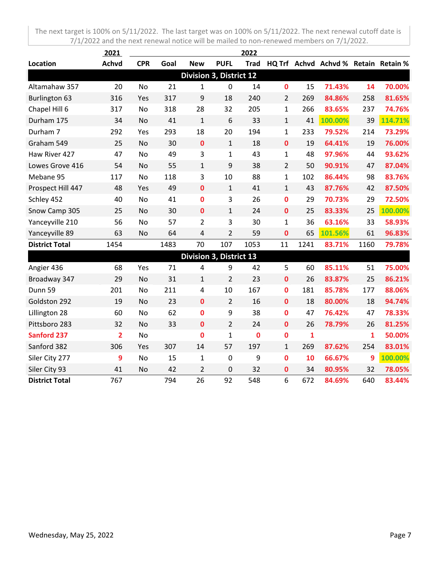|                       | 2021           |            |      |                         |                | 2022        |                |              |                                      |              |         |
|-----------------------|----------------|------------|------|-------------------------|----------------|-------------|----------------|--------------|--------------------------------------|--------------|---------|
| Location              | <b>Achvd</b>   | <b>CPR</b> | Goal | <b>New</b>              | <b>PUFL</b>    | <b>Trad</b> |                |              | HQ Trf Achvd Achvd % Retain Retain % |              |         |
|                       |                |            |      | Division 3, District 12 |                |             |                |              |                                      |              |         |
| Altamahaw 357         | 20             | No         | 21   | 1                       | $\mathbf 0$    | 14          | $\mathbf 0$    | 15           | 71.43%                               | 14           | 70.00%  |
| <b>Burlington 63</b>  | 316            | Yes        | 317  | 9                       | 18             | 240         | $\overline{2}$ | 269          | 84.86%                               | 258          | 81.65%  |
| Chapel Hill 6         | 317            | No         | 318  | 28                      | 32             | 205         | $\mathbf{1}$   | 266          | 83.65%                               | 237          | 74.76%  |
| Durham 175            | 34             | No         | 41   | $\mathbf{1}$            | 6              | 33          | $\mathbf{1}$   | 41           | 100.00%                              | 39           | 114.71% |
| Durham 7              | 292            | Yes        | 293  | 18                      | 20             | 194         | $\mathbf{1}$   | 233          | 79.52%                               | 214          | 73.29%  |
| Graham 549            | 25             | No         | 30   | $\mathbf 0$             | $\mathbf{1}$   | 18          | $\mathbf 0$    | 19           | 64.41%                               | 19           | 76.00%  |
| Haw River 427         | 47             | No         | 49   | 3                       | $\mathbf{1}$   | 43          | $\mathbf{1}$   | 48           | 97.96%                               | 44           | 93.62%  |
| Lowes Grove 416       | 54             | No         | 55   | $\mathbf{1}$            | 9              | 38          | $\overline{2}$ | 50           | 90.91%                               | 47           | 87.04%  |
| Mebane 95             | 117            | No         | 118  | 3                       | 10             | 88          | 1              | 102          | 86.44%                               | 98           | 83.76%  |
| Prospect Hill 447     | 48             | Yes        | 49   | $\mathbf 0$             | $\mathbf{1}$   | 41          | $\mathbf{1}$   | 43           | 87.76%                               | 42           | 87.50%  |
| Schley 452            | 40             | No         | 41   | $\mathbf 0$             | 3              | 26          | $\mathbf 0$    | 29           | 70.73%                               | 29           | 72.50%  |
| Snow Camp 305         | 25             | No         | 30   | $\mathbf{0}$            | $\mathbf{1}$   | 24          | $\mathbf 0$    | 25           | 83.33%                               | 25           | 100.00% |
| Yanceyville 210       | 56             | No         | 57   | $\overline{2}$          | 3              | 30          | $\mathbf{1}$   | 36           | 63.16%                               | 33           | 58.93%  |
| Yanceyville 89        | 63             | No         | 64   | 4                       | $\overline{2}$ | 59          | $\bf{0}$       | 65           | 101.56%                              | 61           | 96.83%  |
| <b>District Total</b> | 1454           |            | 1483 | 70                      | 107            | 1053        | 11             | 1241         | 83.71%                               | 1160         | 79.78%  |
|                       |                |            |      | Division 3, District 13 |                |             |                |              |                                      |              |         |
| Angier 436            | 68             | Yes        | 71   | 4                       | 9              | 42          | 5              | 60           | 85.11%                               | 51           | 75.00%  |
| Broadway 347          | 29             | No         | 31   | $\mathbf{1}$            | $\overline{2}$ | 23          | $\mathbf 0$    | 26           | 83.87%                               | 25           | 86.21%  |
| Dunn 59               | 201            | No         | 211  | 4                       | 10             | 167         | $\bf{0}$       | 181          | 85.78%                               | 177          | 88.06%  |
| Goldston 292          | 19             | <b>No</b>  | 23   | $\mathbf{0}$            | $\overline{2}$ | 16          | $\mathbf 0$    | 18           | 80.00%                               | 18           | 94.74%  |
| Lillington 28         | 60             | No         | 62   | $\mathbf 0$             | 9              | 38          | $\mathbf 0$    | 47           | 76.42%                               | 47           | 78.33%  |
| Pittsboro 283         | 32             | No         | 33   | $\mathbf 0$             | $\overline{2}$ | 24          | $\mathbf{0}$   | 26           | 78.79%                               | 26           | 81.25%  |
| <b>Sanford 237</b>    | $\overline{2}$ | No         |      | $\mathbf 0$             | $\mathbf{1}$   | $\bf{0}$    | $\mathbf 0$    | $\mathbf{1}$ |                                      | $\mathbf{1}$ | 50.00%  |
| Sanford 382           | 306            | Yes        | 307  | 14                      | 57             | 197         | $\mathbf{1}$   | 269          | 87.62%                               | 254          | 83.01%  |
| Siler City 277        | 9              | No         | 15   | $\mathbf{1}$            | $\mathbf 0$    | 9           | $\mathbf 0$    | 10           | 66.67%                               | 9            | 100.00% |
| Siler City 93         | 41             | No         | 42   | $\overline{2}$          | 0              | 32          | 0              | 34           | 80.95%                               | 32           | 78.05%  |
| <b>District Total</b> | 767            |            | 794  | 26                      | 92             | 548         | 6              | 672          | 84.69%                               | 640          | 83.44%  |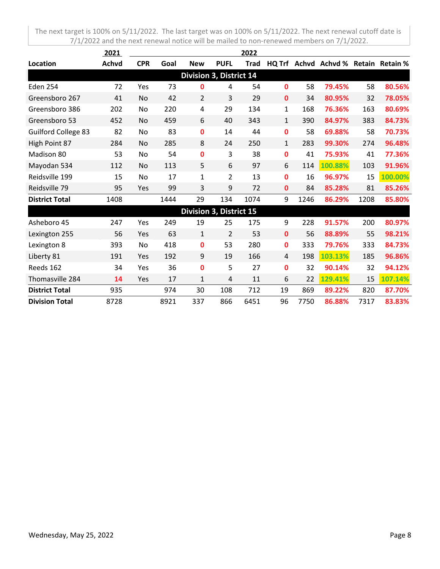|                            | 2021         |            |      |                         |                | 2022        |              |      |                                      |      |         |
|----------------------------|--------------|------------|------|-------------------------|----------------|-------------|--------------|------|--------------------------------------|------|---------|
| Location                   | <b>Achvd</b> | <b>CPR</b> | Goal | <b>New</b>              | <b>PUFL</b>    | <b>Trad</b> |              |      | HQ Trf Achvd Achvd % Retain Retain % |      |         |
|                            |              |            |      | Division 3, District 14 |                |             |              |      |                                      |      |         |
| <b>Eden 254</b>            | 72           | Yes        | 73   | 0                       | 4              | 54          | 0            | 58   | 79.45%                               | 58   | 80.56%  |
| Greensboro 267             | 41           | No         | 42   | $\overline{2}$          | 3              | 29          | 0            | 34   | 80.95%                               | 32   | 78.05%  |
| Greensboro 386             | 202          | No         | 220  | 4                       | 29             | 134         | $\mathbf{1}$ | 168  | 76.36%                               | 163  | 80.69%  |
| Greensboro 53              | 452          | No         | 459  | 6                       | 40             | 343         | $\mathbf{1}$ | 390  | 84.97%                               | 383  | 84.73%  |
| <b>Guilford College 83</b> | 82           | No         | 83   | 0                       | 14             | 44          | 0            | 58   | 69.88%                               | 58   | 70.73%  |
| High Point 87              | 284          | No         | 285  | 8                       | 24             | 250         | $\mathbf{1}$ | 283  | 99.30%                               | 274  | 96.48%  |
| Madison 80                 | 53           | No         | 54   | 0                       | 3              | 38          | 0            | 41   | 75.93%                               | 41   | 77.36%  |
| Mayodan 534                | 112          | No         | 113  | 5                       | 6              | 97          | 6            | 114  | 100.88%                              | 103  | 91.96%  |
| Reidsville 199             | 15           | No         | 17   | 1                       | $\overline{2}$ | 13          | 0            | 16   | 96.97%                               | 15   | 100.00% |
| Reidsville 79              | 95           | Yes        | 99   | 3                       | 9              | 72          | 0            | 84   | 85.28%                               | 81   | 85.26%  |
| <b>District Total</b>      | 1408         |            | 1444 | 29                      | 134            | 1074        | 9            | 1246 | 86.29%                               | 1208 | 85.80%  |
|                            |              |            |      | Division 3, District 15 |                |             |              |      |                                      |      |         |
| Asheboro 45                | 247          | Yes        | 249  | 19                      | 25             | 175         | 9            | 228  | 91.57%                               | 200  | 80.97%  |
| Lexington 255              | 56           | Yes        | 63   | $\mathbf{1}$            | $\overline{2}$ | 53          | 0            | 56   | 88.89%                               | 55   | 98.21%  |
| Lexington 8                | 393          | No         | 418  | 0                       | 53             | 280         | 0            | 333  | 79.76%                               | 333  | 84.73%  |
| Liberty 81                 | 191          | Yes        | 192  | 9                       | 19             | 166         | 4            | 198  | 103.13%                              | 185  | 96.86%  |
| Reeds 162                  | 34           | Yes        | 36   | 0                       | 5              | 27          | 0            | 32   | 90.14%                               | 32   | 94.12%  |
| Thomasville 284            | 14           | Yes        | 17   | $\mathbf{1}$            | 4              | 11          | 6            | 22   | 129.41%                              | 15   | 107.14% |
| <b>District Total</b>      | 935          |            | 974  | 30                      | 108            | 712         | 19           | 869  | 89.22%                               | 820  | 87.70%  |
| <b>Division Total</b>      | 8728         |            | 8921 | 337                     | 866            | 6451        | 96           | 7750 | 86.88%                               | 7317 | 83.83%  |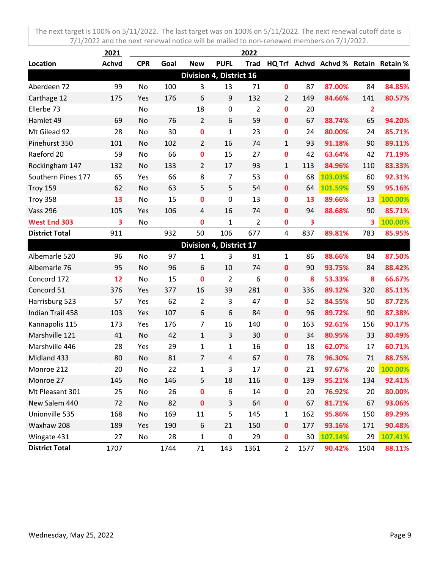|                       | <u> 2021 </u> |            |      |                                |                | 2022           |                |                         |                                      |                |         |
|-----------------------|---------------|------------|------|--------------------------------|----------------|----------------|----------------|-------------------------|--------------------------------------|----------------|---------|
| Location              | <b>Achvd</b>  | <b>CPR</b> | Goal | <b>New</b>                     | <b>PUFL</b>    | <b>Trad</b>    |                |                         | HQ Trf Achvd Achvd % Retain Retain % |                |         |
|                       |               |            |      | <b>Division 4, District 16</b> |                |                |                |                         |                                      |                |         |
| Aberdeen 72           | 99            | No         | 100  | 3                              | 13             | 71             | $\mathbf 0$    | 87                      | 87.00%                               | 84             | 84.85%  |
| Carthage 12           | 175           | Yes        | 176  | 6                              | 9              | 132            | $\overline{2}$ | 149                     | 84.66%                               | 141            | 80.57%  |
| Ellerbe 73            |               | No         |      | 18                             | $\pmb{0}$      | $\overline{2}$ | $\mathbf 0$    | 20                      |                                      | $\overline{2}$ |         |
| Hamlet 49             | 69            | No         | 76   | $\overline{2}$                 | 6              | 59             | $\mathbf 0$    | 67                      | 88.74%                               | 65             | 94.20%  |
| Mt Gilead 92          | 28            | No         | 30   | $\pmb{0}$                      | $\mathbf 1$    | 23             | $\mathbf 0$    | 24                      | 80.00%                               | 24             | 85.71%  |
| Pinehurst 350         | 101           | No         | 102  | $\overline{2}$                 | 16             | 74             | $\mathbf{1}$   | 93                      | 91.18%                               | 90             | 89.11%  |
| Raeford 20            | 59            | No         | 66   | $\mathbf 0$                    | 15             | 27             | $\bf{0}$       | 42                      | 63.64%                               | 42             | 71.19%  |
| Rockingham 147        | 132           | No         | 133  | $\overline{2}$                 | 17             | 93             | $\mathbf{1}$   | 113                     | 84.96%                               | 110            | 83.33%  |
| Southern Pines 177    | 65            | Yes        | 66   | 8                              | $\overline{7}$ | 53             | $\mathbf 0$    | 68                      | 103.03%                              | 60             | 92.31%  |
| Troy 159              | 62            | No         | 63   | 5                              | 5              | 54             | $\mathbf 0$    | 64                      | 101.59%                              | 59             | 95.16%  |
| Troy 358              | 13            | No         | 15   | 0                              | 0              | 13             | $\mathbf 0$    | 13                      | 89.66%                               | 13             | 100.00% |
| <b>Vass 296</b>       | 105           | Yes        | 106  | 4                              | 16             | 74             | 0              | 94                      | 88.68%                               | 90             | 85.71%  |
| <b>West End 303</b>   | 3             | No         |      | $\bf{0}$                       | $\mathbf{1}$   | $\overline{2}$ | $\mathbf 0$    | $\overline{\mathbf{3}}$ |                                      | 3              | 100.00% |
| <b>District Total</b> | 911           |            | 932  | 50                             | 106            | 677            | $\overline{a}$ | 837                     | 89.81%                               | 783            | 85.95%  |
|                       |               |            |      | Division 4, District 17        |                |                |                |                         |                                      |                |         |
| Albemarle 520         | 96            | No         | 97   | $\mathbf{1}$                   | 3              | 81             | $\mathbf{1}$   | 86                      | 88.66%                               | 84             | 87.50%  |
| Albemarle 76          | 95            | No         | 96   | 6                              | 10             | 74             | $\mathbf 0$    | 90                      | 93.75%                               | 84             | 88.42%  |
| Concord 172           | 12            | No         | 15   | $\mathbf 0$                    | $\overline{2}$ | 6              | $\mathbf 0$    | 8                       | 53.33%                               | 8              | 66.67%  |
| Concord 51            | 376           | Yes        | 377  | 16                             | 39             | 281            | $\mathbf 0$    | 336                     | 89.12%                               | 320            | 85.11%  |
| Harrisburg 523        | 57            | Yes        | 62   | $\overline{2}$                 | 3              | 47             | $\mathbf 0$    | 52                      | 84.55%                               | 50             | 87.72%  |
| Indian Trail 458      | 103           | Yes        | 107  | 6                              | 6              | 84             | $\mathbf 0$    | 96                      | 89.72%                               | 90             | 87.38%  |
| Kannapolis 115        | 173           | Yes        | 176  | $\overline{7}$                 | 16             | 140            | $\bf{0}$       | 163                     | 92.61%                               | 156            | 90.17%  |
| Marshville 121        | 41            | No         | 42   | $\mathbf{1}$                   | 3              | 30             | $\mathbf 0$    | 34                      | 80.95%                               | 33             | 80.49%  |
| Marshville 446        | 28            | Yes        | 29   | $\mathbf{1}$                   | $\mathbf{1}$   | 16             | 0              | 18                      | 62.07%                               | 17             | 60.71%  |
| Midland 433           | 80            | No         | 81   | $\overline{7}$                 | 4              | 67             | $\bf{0}$       | 78                      | 96.30%                               | 71             | 88.75%  |
| Monroe 212            | 20            | No         | 22   | $\mathbf 1$                    | 3              | 17             | 0              | 21                      | 97.67%                               | 20             | 100.00% |
| Monroe 27             | 145           | No         | 146  | 5                              | 18             | 116            | $\bf{0}$       | 139                     | 95.21%                               | 134            | 92.41%  |
| Mt Pleasant 301       | 25            | No         | 26   | $\mathbf 0$                    | 6              | 14             | $\bf{0}$       | 20                      | 76.92%                               | 20             | 80.00%  |
| New Salem 440         | 72            | No         | 82   | $\pmb{0}$                      | 3              | 64             | $\pmb{0}$      | 67                      | 81.71%                               | 67             | 93.06%  |
| Unionville 535        | 168           | No         | 169  | 11                             | 5              | 145            | $\mathbf{1}$   | 162                     | 95.86%                               | 150            | 89.29%  |
| Waxhaw 208            | 189           | Yes        | 190  | 6                              | 21             | 150            | $\mathbf 0$    | 177                     | 93.16%                               | 171            | 90.48%  |
| Wingate 431           | 27            | No         | 28   | $\mathbf 1$                    | $\pmb{0}$      | 29             | $\mathbf 0$    | 30                      | 107.14%                              | 29             | 107.41% |
| <b>District Total</b> | 1707          |            | 1744 | 71                             | 143            | 1361           | $\overline{2}$ | 1577                    | 90.42%                               | 1504           | 88.11%  |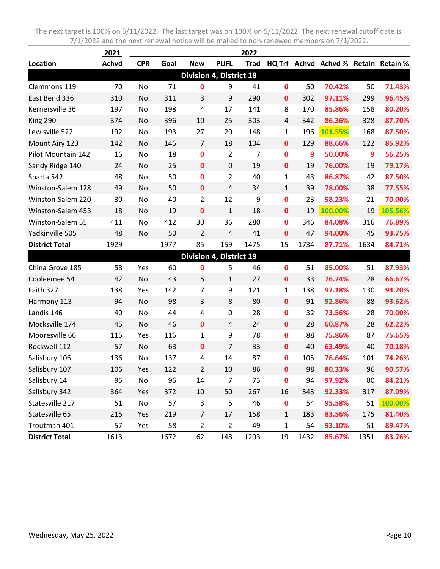|                       | 2021         |            |      |                                |                | 2022        |              |      |                                      |      |         |
|-----------------------|--------------|------------|------|--------------------------------|----------------|-------------|--------------|------|--------------------------------------|------|---------|
| Location              | <b>Achvd</b> | <b>CPR</b> | Goal | <b>New</b>                     | <b>PUFL</b>    | <b>Trad</b> |              |      | HQ Trf Achvd Achvd % Retain Retain % |      |         |
|                       |              |            |      | <b>Division 4, District 18</b> |                |             |              |      |                                      |      |         |
| Clemmons 119          | 70           | No         | 71   | 0                              | 9              | 41          | $\mathbf 0$  | 50   | 70.42%                               | 50   | 71.43%  |
| East Bend 336         | 310          | No         | 311  | 3                              | 9              | 290         | $\mathbf 0$  | 302  | 97.11%                               | 299  | 96.45%  |
| Kernersville 36       | 197          | No         | 198  | 4                              | 17             | 141         | 8            | 170  | 85.86%                               | 158  | 80.20%  |
| King 290              | 374          | No         | 396  | 10                             | 25             | 303         | 4            | 342  | 86.36%                               | 328  | 87.70%  |
| Lewisville 522        | 192          | No         | 193  | 27                             | 20             | 148         | $\mathbf{1}$ | 196  | 101.55%                              | 168  | 87.50%  |
| Mount Airy 123        | 142          | No         | 146  | $\overline{7}$                 | 18             | 104         | $\mathbf 0$  | 129  | 88.66%                               | 122  | 85.92%  |
| Pilot Mountain 142    | 16           | No         | 18   | 0                              | $\overline{2}$ | 7           | $\mathbf 0$  | 9    | 50.00%                               | 9    | 56.25%  |
| Sandy Ridge 140       | 24           | No         | 25   | $\mathbf 0$                    | $\pmb{0}$      | 19          | $\mathbf 0$  | 19   | 76.00%                               | 19   | 79.17%  |
| Sparta 542            | 48           | No         | 50   | 0                              | $\overline{2}$ | 40          | 1            | 43   | 86.87%                               | 42   | 87.50%  |
| Winston-Salem 128     | 49           | No         | 50   | $\mathbf 0$                    | 4              | 34          | $\mathbf{1}$ | 39   | 78.00%                               | 38   | 77.55%  |
| Winston-Salem 220     | 30           | No         | 40   | $\overline{2}$                 | 12             | 9           | $\mathbf 0$  | 23   | 58.23%                               | 21   | 70.00%  |
| Winston-Salem 453     | 18           | No         | 19   | 0                              | $\mathbf{1}$   | 18          | $\mathbf 0$  | 19   | 100.00%                              | 19   | 105.56% |
| Winston-Salem 55      | 411          | No         | 412  | 30                             | 36             | 280         | $\mathbf 0$  | 346  | 84.08%                               | 316  | 76.89%  |
| Yadkinville 505       | 48           | No         | 50   | 2                              | $\overline{4}$ | 41          | $\mathbf 0$  | 47   | 94.00%                               | 45   | 93.75%  |
| <b>District Total</b> | 1929         |            | 1977 | 85                             | 159            | 1475        | 15           | 1734 | 87.71%                               | 1634 | 84.71%  |
|                       |              |            |      | Division 4, District 19        |                |             |              |      |                                      |      |         |
| China Grove 185       | 58           | Yes        | 60   | 0                              | 5              | 46          | $\mathbf 0$  | 51   | 85.00%                               | 51   | 87.93%  |
| Cooleemee 54          | 42           | No         | 43   | 5                              | 1              | 27          | $\mathbf 0$  | 33   | 76.74%                               | 28   | 66.67%  |
| Faith 327             | 138          | Yes        | 142  | 7                              | 9              | 121         | $\mathbf{1}$ | 138  | 97.18%                               | 130  | 94.20%  |
| Harmony 113           | 94           | No         | 98   | 3                              | 8              | 80          | $\mathbf 0$  | 91   | 92.86%                               | 88   | 93.62%  |
| Landis 146            | 40           | No         | 44   | 4                              | $\pmb{0}$      | 28          | $\mathbf 0$  | 32   | 73.56%                               | 28   | 70.00%  |
| Mocksville 174        | 45           | No         | 46   | $\mathbf 0$                    | $\overline{4}$ | 24          | $\mathbf 0$  | 28   | 60.87%                               | 28   | 62.22%  |
| Mooresville 66        | 115          | Yes        | 116  | 1                              | 9              | 78          | 0            | 88   | 75.86%                               | 87   | 75.65%  |
| Rockwell 112          | 57           | No         | 63   | $\mathbf 0$                    | $\overline{7}$ | 33          | $\mathbf 0$  | 40   | 63.49%                               | 40   | 70.18%  |
| Salisbury 106         | 136          | No         | 137  | 4                              | 14             | 87          | $\mathbf 0$  | 105  | 76.64%                               | 101  | 74.26%  |
| Salisbury 107         | 106          | Yes        | 122  | 2                              | 10             | 86          | $\bf{0}$     | 98   | 80.33%                               | 96   | 90.57%  |
| Salisbury 14          | 95           | No         | 96   | 14                             | $\overline{7}$ | 73          | 0            | 94   | 97.92%                               | 80   | 84.21%  |
| Salisbury 342         | 364          | Yes        | 372  | 10                             | 50             | 267         | 16           | 343  | 92.33%                               | 317  | 87.09%  |
| Statesville 217       | 51           | No         | 57   | 3                              | 5              | 46          | $\pmb{0}$    | 54   | 95.58%                               | 51   | 100.00% |
| Statesville 65        | 215          | Yes        | 219  | $\overline{7}$                 | 17             | 158         | $\mathbf 1$  | 183  | 83.56%                               | 175  | 81.40%  |
| Troutman 401          | 57           | Yes        | 58   | $\overline{2}$                 | $\overline{2}$ | 49          | $\mathbf{1}$ | 54   | 93.10%                               | 51   | 89.47%  |
| <b>District Total</b> | 1613         |            | 1672 | 62                             | 148            | 1203        | 19           | 1432 | 85.67%                               | 1351 | 83.76%  |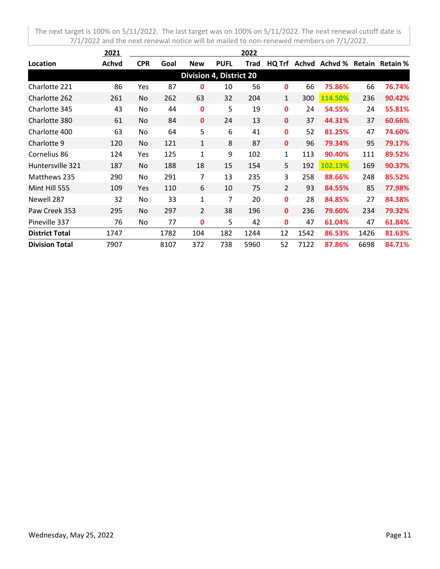|                                | 2021  | 2022       |      |                |             |      |                |       |         |        |                 |
|--------------------------------|-------|------------|------|----------------|-------------|------|----------------|-------|---------|--------|-----------------|
| Location                       | Achvd | <b>CPR</b> | Goal | <b>New</b>     | <b>PUFL</b> | Trad | HQ Trf         | Achvd | Achvd % | Retain | <b>Retain %</b> |
| <b>Division 4, District 20</b> |       |            |      |                |             |      |                |       |         |        |                 |
| Charlotte 221                  | 86    | Yes        | 87   | 0              | 10          | 56   | 0              | 66    | 75.86%  | 66     | 76.74%          |
| Charlotte 262                  | 261   | No.        | 262  | 63             | 32          | 204  | 1              | 300   | 114.50% | 236    | 90.42%          |
| Charlotte 345                  | 43    | No         | 44   | 0              | 5           | 19   | $\mathbf{0}$   | 24    | 54.55%  | 24     | 55.81%          |
| Charlotte 380                  | 61    | No         | 84   | $\mathbf 0$    | 24          | 13   | $\mathbf{0}$   | 37    | 44.31%  | 37     | 60.66%          |
| Charlotte 400                  | 63    | No         | 64   | 5              | 6           | 41   | $\mathbf{0}$   | 52    | 81.25%  | 47     | 74.60%          |
| Charlotte 9                    | 120   | No.        | 121  | 1              | 8           | 87   | $\mathbf{0}$   | 96    | 79.34%  | 95     | 79.17%          |
| Cornelius 86                   | 124   | Yes        | 125  | $\mathbf{1}$   | 9           | 102  | $\mathbf{1}$   | 113   | 90.40%  | 111    | 89.52%          |
| Huntersville 321               | 187   | No         | 188  | 18             | 15          | 154  | 5              | 192   | 102.13% | 169    | 90.37%          |
| Matthews 235                   | 290   | No         | 291  | 7              | 13          | 235  | 3              | 258   | 88.66%  | 248    | 85.52%          |
| Mint Hill 555                  | 109   | Yes        | 110  | 6              | 10          | 75   | $\overline{2}$ | 93    | 84.55%  | 85     | 77.98%          |
| Newell 287                     | 32    | No         | 33   | 1              | 7           | 20   | $\mathbf 0$    | 28    | 84.85%  | 27     | 84.38%          |
| Paw Creek 353                  | 295   | No         | 297  | $\overline{2}$ | 38          | 196  | $\mathbf{0}$   | 236   | 79.60%  | 234    | 79.32%          |
| Pineville 337                  | 76    | No         | 77   | 0              | 5           | 42   | $\mathbf 0$    | 47    | 61.04%  | 47     | 61.84%          |
| <b>District Total</b>          | 1747  |            | 1782 | 104            | 182         | 1244 | 12             | 1542  | 86.53%  | 1426   | 81.63%          |
| <b>Division Total</b>          | 7907  |            | 8107 | 372            | 738         | 5960 | 52             | 7122  | 87.86%  | 6698   | 84.71%          |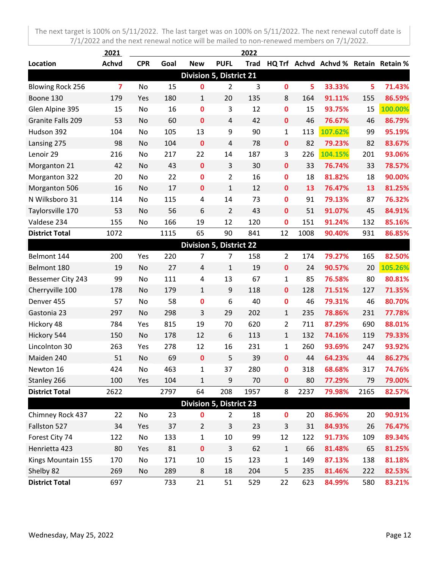|                                | 2021                    |            |      |                                |                | 2022        |                |      |                                      |      |         |
|--------------------------------|-------------------------|------------|------|--------------------------------|----------------|-------------|----------------|------|--------------------------------------|------|---------|
| Location                       | <b>Achvd</b>            | <b>CPR</b> | Goal | <b>New</b>                     | <b>PUFL</b>    | <b>Trad</b> |                |      | HQ Trf Achvd Achvd % Retain Retain % |      |         |
| <b>Division 5, District 21</b> |                         |            |      |                                |                |             |                |      |                                      |      |         |
| <b>Blowing Rock 256</b>        | $\overline{\mathbf{z}}$ | No         | 15   | 0                              | $\overline{2}$ | 3           | $\mathbf 0$    | 5    | 33.33%                               | 5    | 71.43%  |
| Boone 130                      | 179                     | Yes        | 180  | 1                              | 20             | 135         | 8              | 164  | 91.11%                               | 155  | 86.59%  |
| Glen Alpine 395                | 15                      | No         | 16   | $\mathbf 0$                    | 3              | 12          | $\mathbf 0$    | 15   | 93.75%                               | 15   | 100.00% |
| Granite Falls 209              | 53                      | No         | 60   | $\mathbf 0$                    | 4              | 42          | $\mathbf 0$    | 46   | 76.67%                               | 46   | 86.79%  |
| Hudson 392                     | 104                     | No         | 105  | 13                             | 9              | 90          | $\mathbf 1$    | 113  | 107.62%                              | 99   | 95.19%  |
| Lansing 275                    | 98                      | No         | 104  | $\mathbf 0$                    | 4              | 78          | $\mathbf 0$    | 82   | 79.23%                               | 82   | 83.67%  |
| Lenoir 29                      | 216                     | No         | 217  | 22                             | 14             | 187         | 3              | 226  | 104.15%                              | 201  | 93.06%  |
| Morganton 21                   | 42                      | No         | 43   | $\pmb{0}$                      | $\overline{3}$ | 30          | $\mathbf 0$    | 33   | 76.74%                               | 33   | 78.57%  |
| Morganton 322                  | 20                      | No         | 22   | $\mathbf 0$                    | $\overline{2}$ | 16          | $\mathbf 0$    | 18   | 81.82%                               | 18   | 90.00%  |
| Morganton 506                  | 16                      | No         | 17   | $\mathbf 0$                    | $\mathbf{1}$   | 12          | $\mathbf 0$    | 13   | 76.47%                               | 13   | 81.25%  |
| N Wilksboro 31                 | 114                     | No         | 115  | 4                              | 14             | 73          | $\mathbf 0$    | 91   | 79.13%                               | 87   | 76.32%  |
| Taylorsville 170               | 53                      | No         | 56   | 6                              | $\overline{2}$ | 43          | $\mathbf{0}$   | 51   | 91.07%                               | 45   | 84.91%  |
| Valdese 234                    | 155                     | No         | 166  | 19                             | 12             | 120         | $\mathbf 0$    | 151  | 91.24%                               | 132  | 85.16%  |
| <b>District Total</b>          | 1072                    |            | 1115 | 65                             | 90             | 841         | 12             | 1008 | 90.40%                               | 931  | 86.85%  |
| <b>Division 5, District 22</b> |                         |            |      |                                |                |             |                |      |                                      |      |         |
| Belmont 144                    | 200                     | Yes        | 220  | 7                              | $\overline{7}$ | 158         | $\overline{2}$ | 174  | 79.27%                               | 165  | 82.50%  |
| Belmont 180                    | 19                      | No         | 27   | $\overline{4}$                 | $\mathbf{1}$   | 19          | $\mathbf 0$    | 24   | 90.57%                               | 20   | 105.26% |
| Bessemer City 243              | 99                      | No         | 111  | 4                              | 13             | 67          | $\mathbf{1}$   | 85   | 76.58%                               | 80   | 80.81%  |
| Cherryville 100                | 178                     | No         | 179  | $\mathbf{1}$                   | 9              | 118         | $\mathbf 0$    | 128  | 71.51%                               | 127  | 71.35%  |
| Denver 455                     | 57                      | No         | 58   | 0                              | 6              | 40          | $\mathbf 0$    | 46   | 79.31%                               | 46   | 80.70%  |
| Gastonia 23                    | 297                     | No         | 298  | 3                              | 29             | 202         | $\mathbf{1}$   | 235  | 78.86%                               | 231  | 77.78%  |
| Hickory 48                     | 784                     | Yes        | 815  | 19                             | 70             | 620         | $\overline{2}$ | 711  | 87.29%                               | 690  | 88.01%  |
| Hickory 544                    | 150                     | No         | 178  | 12                             | 6              | 113         | $\mathbf{1}$   | 132  | 74.16%                               | 119  | 79.33%  |
| Lincolnton 30                  | 263                     | Yes        | 278  | 12                             | 16             | 231         | $\mathbf{1}$   | 260  | 93.69%                               | 247  | 93.92%  |
| Maiden 240                     | 51                      | No         | 69   | $\mathbf 0$                    | 5              | 39          | $\mathbf 0$    | 44   | 64.23%                               | 44   | 86.27%  |
| Newton 16                      | 424                     | No         | 463  | 1                              | 37             | 280         | $\mathbf 0$    | 318  | 68.68%                               | 317  | 74.76%  |
| Stanley 266                    | 100                     | Yes        | 104  | 1                              | 9              | 70          | $\mathbf 0$    | 80   | 77.29%                               | 79   | 79.00%  |
| <b>District Total</b>          | 2622                    |            | 2797 | 64                             | 208            | 1957        | 8              | 2237 | 79.98%                               | 2165 | 82.57%  |
|                                |                         |            |      | <b>Division 5, District 23</b> |                |             |                |      |                                      |      |         |
| Chimney Rock 437               | 22                      | No         | 23   | 0                              | $\overline{2}$ | 18          | $\mathbf 0$    | 20   | 86.96%                               | 20   | 90.91%  |
| Fallston 527                   | 34                      | Yes        | 37   | $\overline{2}$                 | 3              | 23          | $\mathsf{3}$   | 31   | 84.93%                               | 26   | 76.47%  |
| Forest City 74                 | 122                     | No         | 133  | $\mathbf{1}$                   | 10             | 99          | 12             | 122  | 91.73%                               | 109  | 89.34%  |
| Henrietta 423                  | 80                      | Yes        | 81   | $\pmb{0}$                      | 3              | 62          | $\mathbf 1$    | 66   | 81.48%                               | 65   | 81.25%  |
| Kings Mountain 155             | 170                     | No         | 171  | 10                             | 15             | 123         | $\mathbf{1}$   | 149  | 87.13%                               | 138  | 81.18%  |
| Shelby 82                      | 269                     | No         | 289  | 8                              | 18             | 204         | 5              | 235  | 81.46%                               | 222  | 82.53%  |
| <b>District Total</b>          | 697                     |            | 733  | 21                             | 51             | 529         | 22             | 623  | 84.99%                               | 580  | 83.21%  |